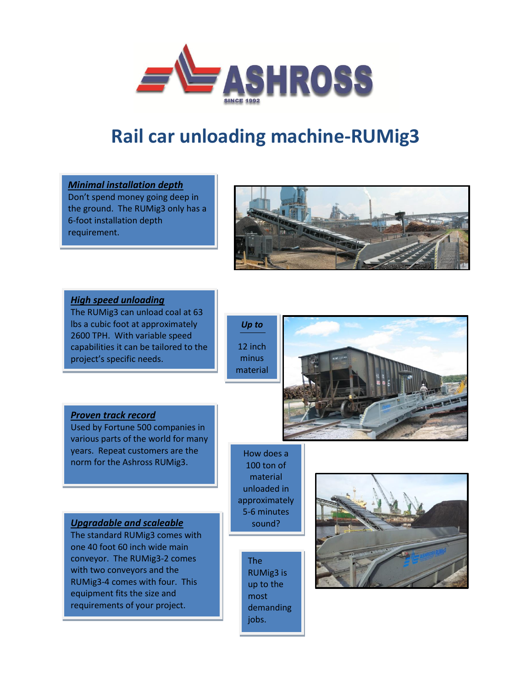

# **Rail car unloading machine-RUMig3**



Don't spend money going deep in the ground. The RUMig3 only has a 6-foot installation depth requirement.



### *High speed unloading*

The RUMig3 can unload coal at 63 lbs a cubic foot at approximately 2600 TPH. With variable speed capabilities it can be tailored to the project's specific needs.

*Up to* 12 inch minus material



# *Proven track record*

Used by Fortune 500 companies in various parts of the world for many years. Repeat customers are the norm for the Ashross RUMig3.

## *Upgradable and scaleable*

The standard RUMig3 comes with one 40 foot 60 inch wide main conveyor. The RUMig3-2 comes with two conveyors and the RUMig3-4 comes with four. This equipment fits the size and requirements of your project.

How does a 100 ton of material unloaded in approximately 5-6 minutes sound?

> The RUMig3 is up to the most demanding jobs.

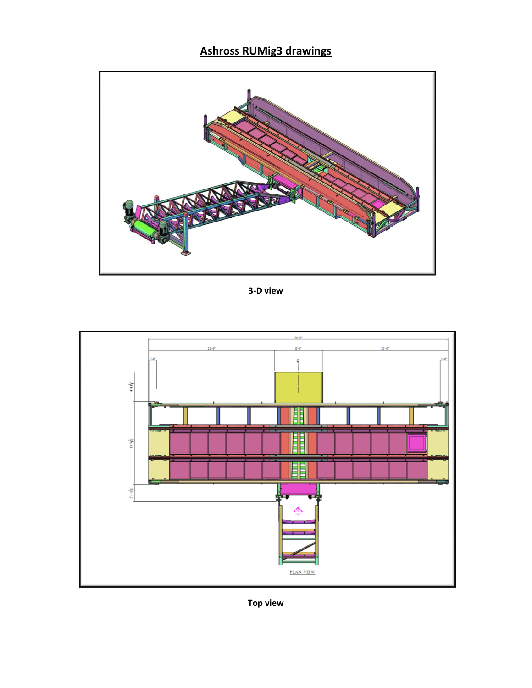# **Ashross RUMig3 drawings**



3-D view



**Top view**